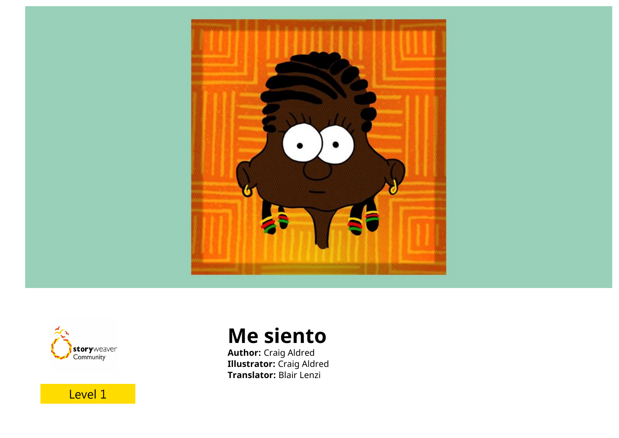



**Me siento**

**Author:** Craig Aldred **Illustrator:** Craig Aldred **Translator:** Blair Lenzi

Level 1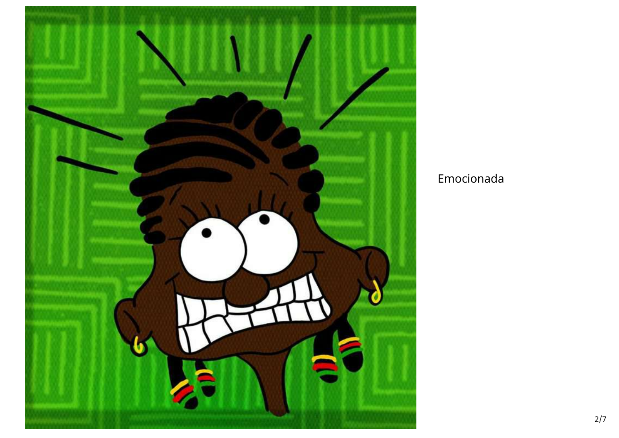

## Emocionada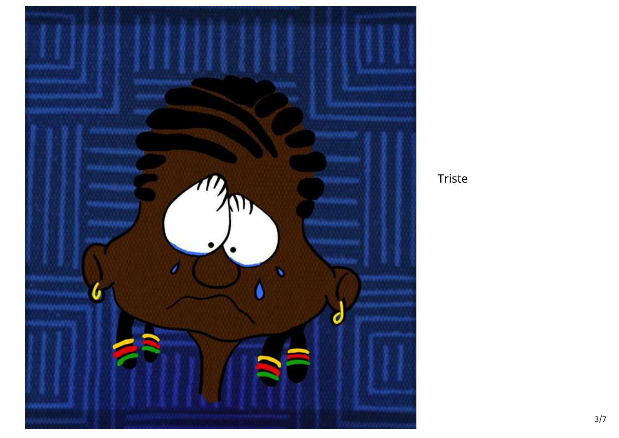

Triste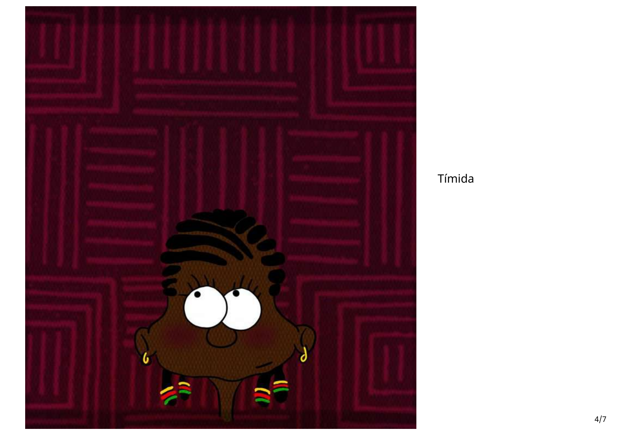

Tímida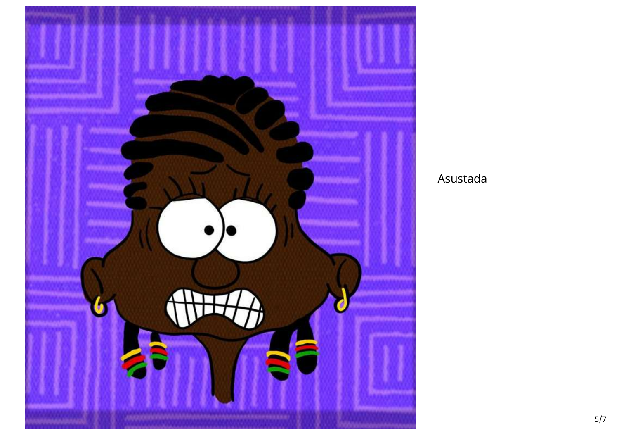

### Asustada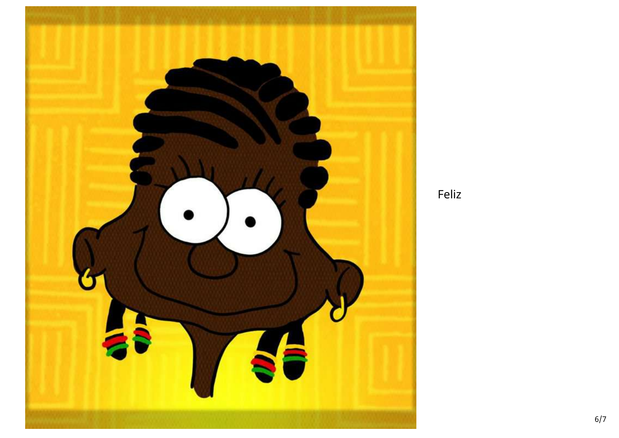

Feliz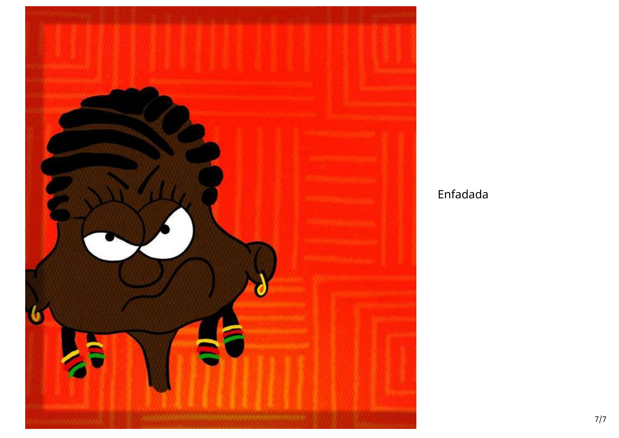

# Enfadada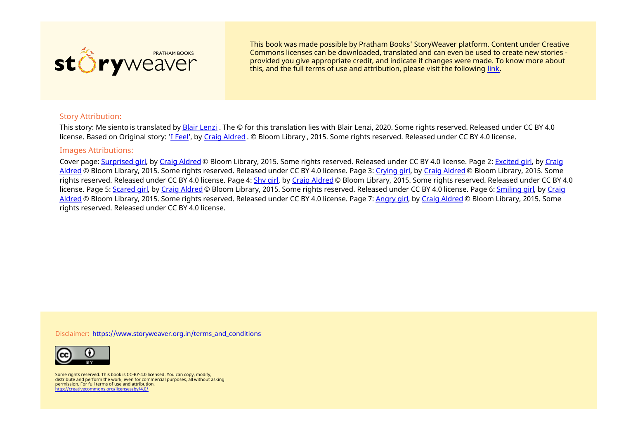

This book was made possible by Pratham Books' StoryWeaver platform. Content under Creative Commons licenses can be downloaded, translated and can even be used to create new stories ‐ provided you give appropriate credit, and indicate if changes were made. To know more about this, and the full terms of use and attribution, please visit the following [link](https://storyweaver.org.in/terms_and_conditions).

#### Story Attribution:

This story: Me siento is translated by Blair [Lenzi](https://storyweaver.org.in/users/188387-blair-lenzi) . The © for this translation lies with Blair Lenzi, 2020. Some rights reserved. Released under CC BY 4.0 license. Based on Original story: 'I [Feel](https://storyweaver.org.in/stories/103466-i-feel)', by Craig [Aldred](https://storyweaver.org.in/users/155350-craig-aldred) . © Bloom Library , 2015. Some rights reserved. Released under CC BY 4.0 license.

#### Images Attributions:

Cover page: [Surprised](https://storyweaver.org.in/illustrations/30804-surprised-girl) girl, by Craig [Aldred](https://storyweaver.org.in/users/155350-craig-aldred) © Bloom Library, 2015. Some rights reserved. Released under CC BY 4.0 license. Page 2: [Excited](https://storyweaver.org.in/illustrations/30805-excited-girl) girl, by Craig Aldred © Bloom Library, 2015. Some rights reserved. Released under CC BY 4.0 license. Page 3: [Crying](https://storyweaver.org.in/illustrations/30809-crying-girl) girl, by Craig [Aldred](https://storyweaver.org.in/users/155350-craig-aldred) © Bloom Library, 2015. Some rights reserved. Released under CC BY 4.0 license. Page 4: [Shy](https://storyweaver.org.in/illustrations/30810-shy-girl) girl, by Craig [Aldred](https://storyweaver.org.in/users/155350-craig-aldred) © Bloom Library, 2015. Some rights reserved. Released under CC BY 4.0 license. Page 5: [Scared](https://storyweaver.org.in/illustrations/30811-scared-girl) girl, by Craig [Aldred](https://storyweaver.org.in/users/155350-craig-aldred) © Bloom Library, 2015. Some rights [reserved.](https://storyweaver.org.in/users/155350-craig-aldred) Released under CC BY 4.0 license. Page 6: [Smiling](https://storyweaver.org.in/illustrations/30812-smiling-girl) girl, by Craig Aldred © Bloom Library, 2015. Some rights reserved. Released under CC BY 4.0 license. Page 7: [Angry](https://storyweaver.org.in/illustrations/30813-angry-girl) girl, by Craig [Aldred](https://storyweaver.org.in/users/155350-craig-aldred) © Bloom Library, 2015. Some rights reserved. Released under CC BY 4.0 license.

Disclaimer: [https://www.storyweaver.org.in/terms\\_and\\_conditions](https://storyweaver.org.in/terms_and_conditions)



Some rights reserved. This book is CC-BY-4.0 licensed. You can copy, modify, distribute and perform the work, even for commercial purposes, all without asking permission. For full terms of use and attribution, <http://creativecommons.org/licenses/by/4.0/>